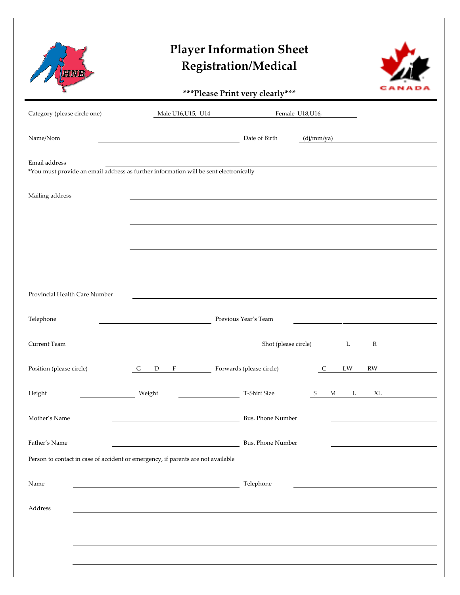## **Player Information Sheet Registration/Medical**

AENE



**\*\*\*Please Print very clearly\*\*\***

|                                                                                                        |                                                                                  | Thease I thin very clearly |                                |  |
|--------------------------------------------------------------------------------------------------------|----------------------------------------------------------------------------------|----------------------------|--------------------------------|--|
| Category (please circle one)                                                                           | Male U16, U15, U14<br>Female U18,U16,                                            |                            |                                |  |
| Name/Nom                                                                                               | <u> 1989 - Johann Barn, mars eta bainar eta idazlea (h. 1989).</u>               | Date of Birth              | (dj/mm/ya)                     |  |
| Email address<br>*You must provide an email address as further information will be sent electronically |                                                                                  |                            |                                |  |
| Mailing address                                                                                        |                                                                                  |                            |                                |  |
|                                                                                                        |                                                                                  |                            |                                |  |
|                                                                                                        |                                                                                  |                            |                                |  |
|                                                                                                        |                                                                                  |                            |                                |  |
| Provincial Health Care Number                                                                          |                                                                                  |                            |                                |  |
| Telephone                                                                                              | Previous Year's Team                                                             |                            |                                |  |
| Current Team                                                                                           | Shot (please circle)<br>$\mathbb{R}$<br>$\mathbf{L}$                             |                            |                                |  |
| Position (please circle)                                                                               | $F$ and $F$<br>G<br>D                                                            | Forwards (please circle)   | $\mathsf C$<br>LW<br><b>RW</b> |  |
| Height                                                                                                 | Weight                                                                           | T-Shirt Size               | L<br>XL<br>S<br>M              |  |
| Mother's Name                                                                                          |                                                                                  | Bus. Phone Number          |                                |  |
| Father's Name                                                                                          |                                                                                  | Bus. Phone Number          |                                |  |
|                                                                                                        | Person to contact in case of accident or emergency, if parents are not available |                            |                                |  |
| Name                                                                                                   |                                                                                  | Telephone                  |                                |  |
| Address                                                                                                |                                                                                  |                            |                                |  |
|                                                                                                        |                                                                                  |                            |                                |  |
|                                                                                                        |                                                                                  |                            |                                |  |
|                                                                                                        |                                                                                  |                            |                                |  |